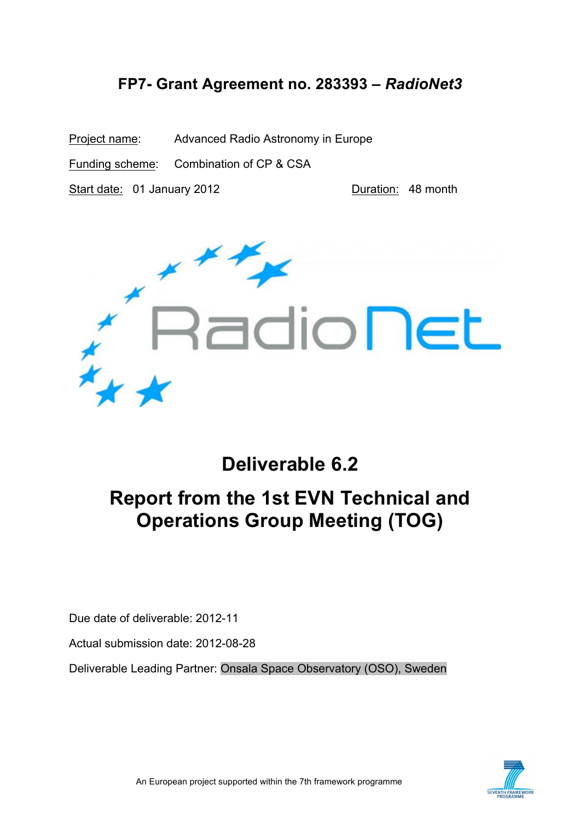# **FP7- Grant Agreement no. 283393 –** *RadioNet3*

Project name: Advanced Radio Astronomy in Europe Funding scheme: Combination of CP & CSA Start date: 01 January 2012 Duration: 48 month



# **Deliverable 6.2**

# **Report from the 1st EVN Technical and Operations Group Meeting (TOG)**

Due date of deliverable: 2012-11

Actual submission date: 2012-08-28

Deliverable Leading Partner: Onsala Space Observatory (OSO), Sweden

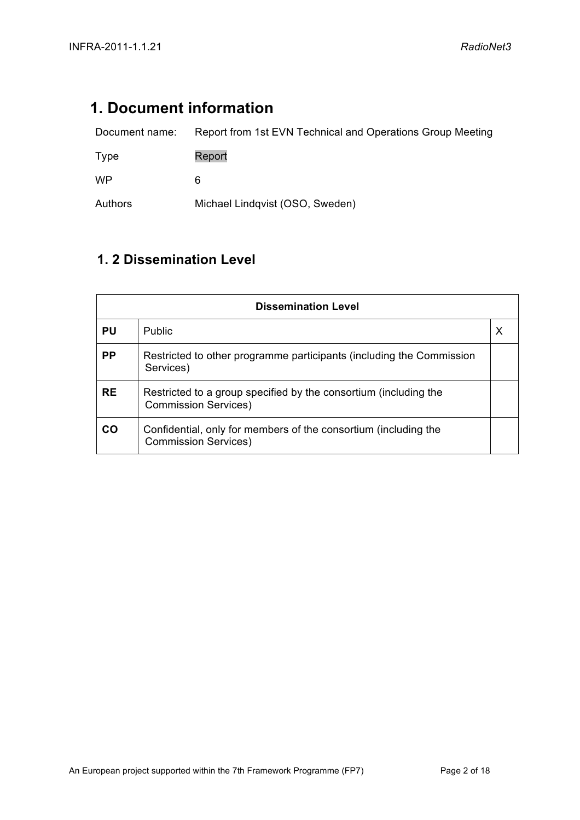# **1. Document information**

| Document name: | Report from 1st EVN Technical and Operations Group Meeting |
|----------------|------------------------------------------------------------|
| Type           | Report                                                     |
| <b>WP</b>      | 6                                                          |
| Authors        | Michael Lindqvist (OSO, Sweden)                            |

# **1. 2 Dissemination Level**

| <b>Dissemination Level</b> |                                                                                                 |  |  |
|----------------------------|-------------------------------------------------------------------------------------------------|--|--|
| <b>PU</b>                  | <b>Public</b>                                                                                   |  |  |
| <b>PP</b>                  | Restricted to other programme participants (including the Commission<br>Services)               |  |  |
| <b>RE</b>                  | Restricted to a group specified by the consortium (including the<br><b>Commission Services)</b> |  |  |
| CO                         | Confidential, only for members of the consortium (including the<br><b>Commission Services)</b>  |  |  |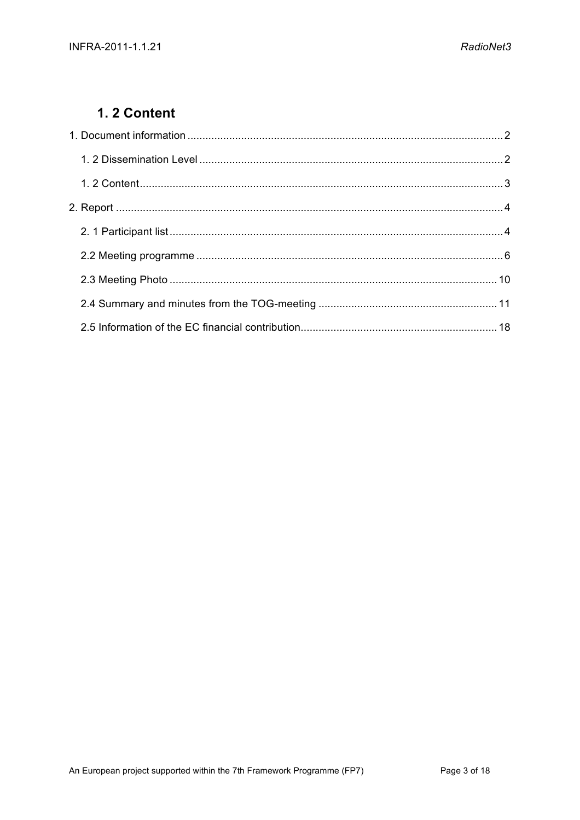## 1.2 Content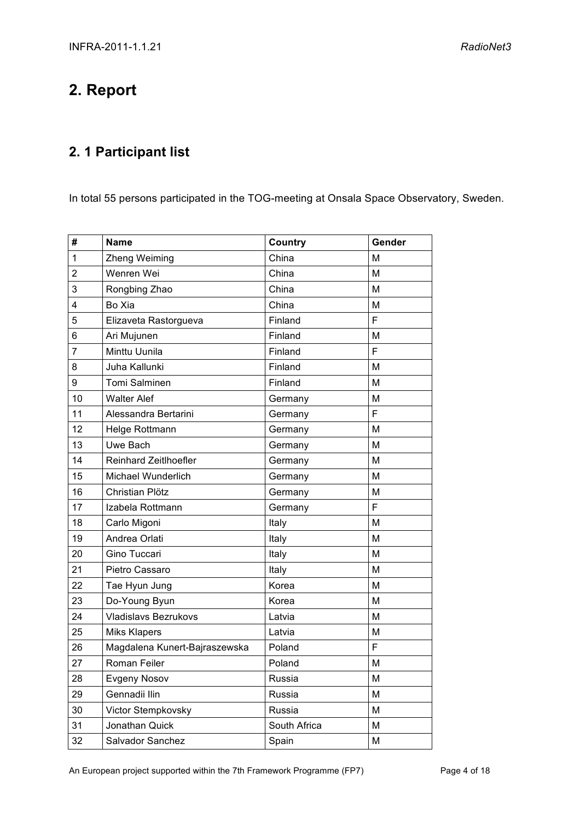# **2. Report**

# **2. 1 Participant list**

In total 55 persons participated in the TOG-meeting at Onsala Space Observatory, Sweden.

| #              | <b>Name</b>                   | Country      | Gender |
|----------------|-------------------------------|--------------|--------|
| 1              | Zheng Weiming                 | China        | M      |
| $\overline{2}$ | Wenren Wei                    | China        | M      |
| 3              | Rongbing Zhao                 | China        | M      |
| 4              | Bo Xia                        | China        | M      |
| 5              | Elizaveta Rastorgueva         | Finland      | F      |
| 6              | Ari Mujunen                   | Finland      | M      |
| 7              | Minttu Uunila                 | Finland      | F      |
| 8              | Juha Kallunki                 | Finland      | M      |
| 9              | Tomi Salminen                 | Finland      | M      |
| 10             | <b>Walter Alef</b>            | Germany      | M      |
| 11             | Alessandra Bertarini          | Germany      | F      |
| 12             | Helge Rottmann                | Germany      | M      |
| 13             | Uwe Bach                      | Germany      | M      |
| 14             | Reinhard Zeitlhoefler         | Germany      | M      |
| 15             | Michael Wunderlich            | Germany      | M      |
| 16             | Christian Plötz               | Germany      | M      |
| 17             | Izabela Rottmann              | Germany      | F      |
| 18             | Carlo Migoni                  | Italy        | M      |
| 19             | Andrea Orlati                 | Italy        | M      |
| 20             | Gino Tuccari                  | Italy        | M      |
| 21             | Pietro Cassaro                | Italy        | M      |
| 22             | Tae Hyun Jung                 | Korea        | M      |
| 23             | Do-Young Byun                 | Korea        | M      |
| 24             | <b>Vladislavs Bezrukovs</b>   | Latvia       | M      |
| 25             | <b>Miks Klapers</b>           | Latvia       | M      |
| 26             | Magdalena Kunert-Bajraszewska | Poland       | F      |
| 27             | <b>Roman Feiler</b>           | Poland       | M      |
| 28             | <b>Evgeny Nosov</b>           | Russia       | M      |
| 29             | Gennadii Ilin                 | Russia       | M      |
| 30             | Victor Stempkovsky            | Russia       | M      |
| 31             | Jonathan Quick                | South Africa | M      |
| 32             | Salvador Sanchez              | Spain        | M      |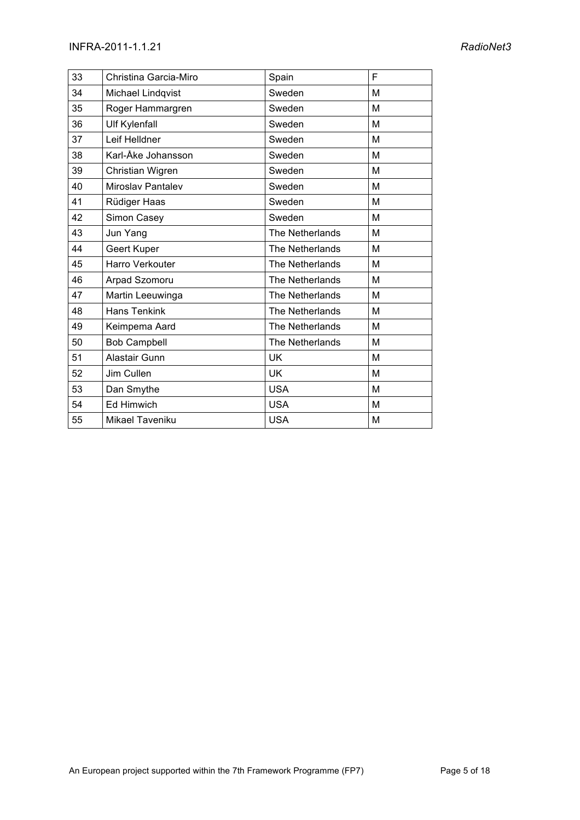| 33 | Christina Garcia-Miro    | Spain           | F |
|----|--------------------------|-----------------|---|
| 34 | Michael Lindqvist        | Sweden          | M |
| 35 | Roger Hammargren         | Sweden          | M |
| 36 | <b>Ulf Kylenfall</b>     | Sweden          | M |
| 37 | Leif Helldner            | Sweden          | M |
| 38 | Karl-Åke Johansson       | Sweden          | M |
| 39 | Christian Wigren         | Sweden          | M |
| 40 | <b>Miroslav Pantalev</b> | Sweden          | M |
| 41 | Rüdiger Haas             | Sweden          | M |
| 42 | Simon Casey              | Sweden          | M |
| 43 | Jun Yang                 | The Netherlands | M |
| 44 | Geert Kuper              | The Netherlands | M |
| 45 | Harro Verkouter          | The Netherlands | M |
| 46 | Arpad Szomoru            | The Netherlands | M |
| 47 | Martin Leeuwinga         | The Netherlands | M |
| 48 | <b>Hans Tenkink</b>      | The Netherlands | M |
| 49 | Keimpema Aard            | The Netherlands | M |
| 50 | <b>Bob Campbell</b>      | The Netherlands | M |
| 51 | Alastair Gunn            | UK.             | M |
| 52 | Jim Cullen               | UK              | M |
| 53 | Dan Smythe               | <b>USA</b>      | M |
| 54 | <b>Ed Himwich</b>        | <b>USA</b>      | M |
| 55 | Mikael Taveniku          | <b>USA</b>      | M |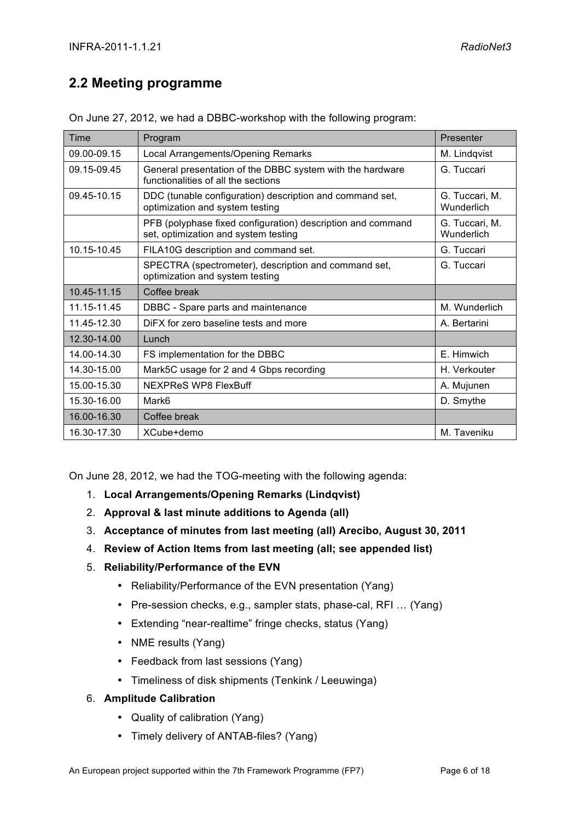## **2.2 Meeting programme**

| Time        | Program                                                                                             | Presenter                    |
|-------------|-----------------------------------------------------------------------------------------------------|------------------------------|
| 09.00-09.15 | Local Arrangements/Opening Remarks                                                                  | M. Lindqvist                 |
| 09.15-09.45 | General presentation of the DBBC system with the hardware<br>functionalities of all the sections    | G. Tuccari                   |
| 09.45-10.15 | DDC (tunable configuration) description and command set,<br>optimization and system testing         | G. Tuccari, M.<br>Wunderlich |
|             | PFB (polyphase fixed configuration) description and command<br>set, optimization and system testing | G. Tuccari, M.<br>Wunderlich |
| 10.15-10.45 | FILA10G description and command set.                                                                | G. Tuccari                   |
|             | SPECTRA (spectrometer), description and command set,<br>optimization and system testing             | G. Tuccari                   |
| 10.45-11.15 | Coffee break                                                                                        |                              |
| 11.15-11.45 | DBBC - Spare parts and maintenance                                                                  | M. Wunderlich                |
| 11.45-12.30 | DIFX for zero baseline tests and more                                                               | A. Bertarini                 |
| 12.30-14.00 | Lunch                                                                                               |                              |
| 14.00-14.30 | FS implementation for the DBBC                                                                      | E. Himwich                   |
| 14.30-15.00 | Mark5C usage for 2 and 4 Gbps recording                                                             | H. Verkouter                 |
| 15.00-15.30 | <b>NEXPReS WP8 FlexBuff</b>                                                                         | A. Mujunen                   |
| 15.30-16.00 | Mark6                                                                                               | D. Smythe                    |
| 16.00-16.30 | Coffee break                                                                                        |                              |
| 16.30-17.30 | XCube+demo                                                                                          | M. Taveniku                  |

On June 27, 2012, we had a DBBC-workshop with the following program:

On June 28, 2012, we had the TOG-meeting with the following agenda:

- 1. **Local Arrangements/Opening Remarks (Lindqvist)**
- 2. **Approval & last minute additions to Agenda (all)**
- 3. **Acceptance of minutes from last meeting (all) Arecibo, August 30, 2011**
- 4. **Review of Action Items from last meeting (all; see appended list)**
- 5. **Reliability/Performance of the EVN** 
	- Reliability/Performance of the EVN presentation (Yang)
	- Pre-session checks, e.g., sampler stats, phase-cal, RFI … (Yang)
	- Extending "near-realtime" fringe checks, status (Yang)
	- NME results (Yang)
	- Feedback from last sessions (Yang)
	- Timeliness of disk shipments (Tenkink / Leeuwinga)

## 6. **Amplitude Calibration**

- Quality of calibration (Yang)
- Timely delivery of ANTAB-files? (Yang)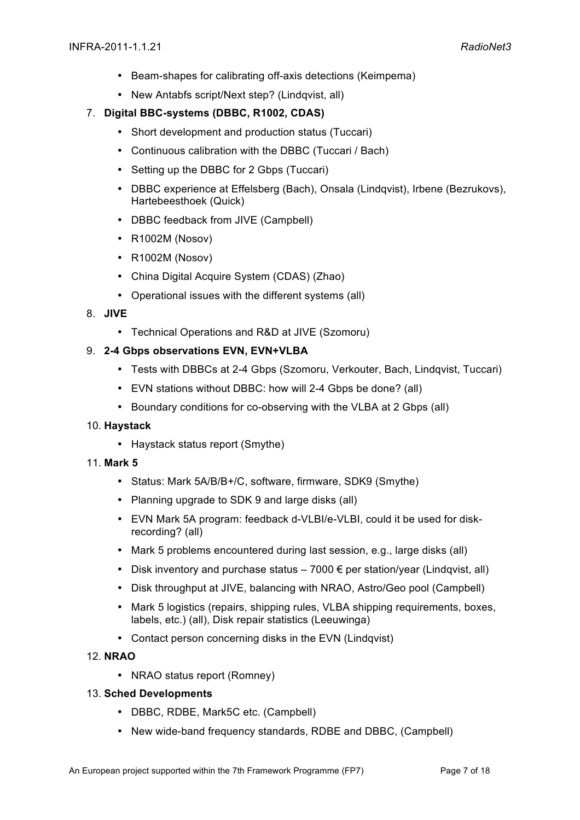- Beam-shapes for calibrating off-axis detections (Keimpema)
- New Antabfs script/Next step? (Lindqvist, all)

## 7. **Digital BBC-systems (DBBC, R1002, CDAS)**

- Short development and production status (Tuccari)
- Continuous calibration with the DBBC (Tuccari / Bach)
- Setting up the DBBC for 2 Gbps (Tuccari)
- DBBC experience at Effelsberg (Bach), Onsala (Lindqvist), Irbene (Bezrukovs), Hartebeesthoek (Quick)
- DBBC feedback from JIVE (Campbell)
- R1002M (Nosov)
- R1002M (Nosov)
- China Digital Acquire System (CDAS) (Zhao)
- Operational issues with the different systems (all)

## 8. **JIVE**

• Technical Operations and R&D at JIVE (Szomoru)

## 9. **2-4 Gbps observations EVN, EVN+VLBA**

- Tests with DBBCs at 2-4 Gbps (Szomoru, Verkouter, Bach, Lindqvist, Tuccari)
- EVN stations without DBBC: how will 2-4 Gbps be done? (all)
- Boundary conditions for co-observing with the VLBA at 2 Gbps (all)

## 10. **Haystack**

• Haystack status report (Smythe)

## 11. **Mark 5**

- Status: Mark 5A/B/B+/C, software, firmware, SDK9 (Smythe)
- Planning upgrade to SDK 9 and large disks (all)
- EVN Mark 5A program: feedback d-VLBI/e-VLBI, could it be used for diskrecording? (all)
- Mark 5 problems encountered during last session, e.g., large disks (all)
- Disk inventory and purchase status  $-7000 \in$  per station/year (Lindqvist, all)
- Disk throughput at JIVE, balancing with NRAO, Astro/Geo pool (Campbell)
- Mark 5 logistics (repairs, shipping rules, VLBA shipping requirements, boxes, labels, etc.) (all), Disk repair statistics (Leeuwinga)
- Contact person concerning disks in the EVN (Lindqvist)

## 12. **NRAO**

• NRAO status report (Romney)

## 13. **Sched Developments**

- DBBC, RDBE, Mark5C etc. (Campbell)
- New wide-band frequency standards, RDBE and DBBC, (Campbell)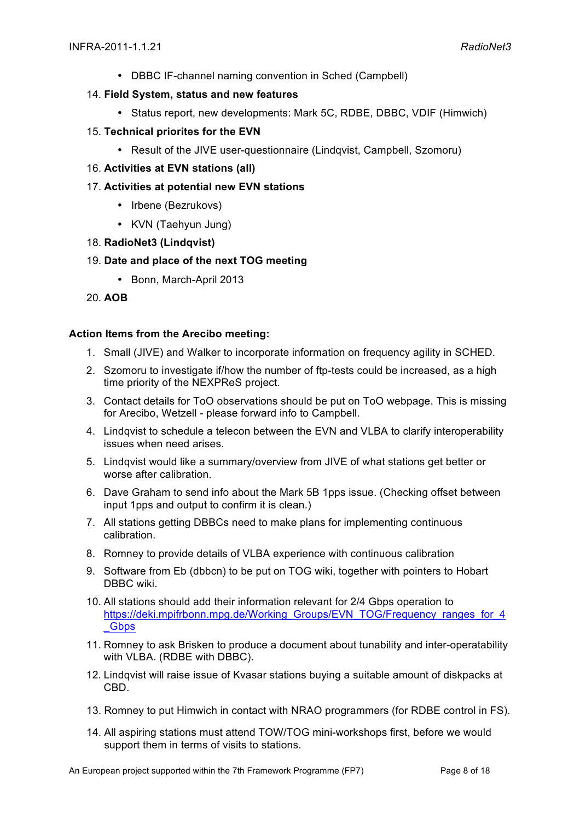• DBBC IF-channel naming convention in Sched (Campbell)

## 14. **Field System, status and new features**

- Status report, new developments: Mark 5C, RDBE, DBBC, VDIF (Himwich)
- 15. **Technical priorites for the EVN** 
	- Result of the JIVE user-questionnaire (Lindqvist, Campbell, Szomoru)
- 16. **Activities at EVN stations (all)**
- 17. **Activities at potential new EVN stations**
	- Irbene (Bezrukovs)
	- KVN (Taehyun Jung)
- 18. **RadioNet3 (Lindqvist)**

## 19. **Date and place of the next TOG meeting**

- Bonn, March-April 2013
- 20. **AOB**

## **Action Items from the Arecibo meeting:**

- 1. Small (JIVE) and Walker to incorporate information on frequency agility in SCHED.
- 2. Szomoru to investigate if/how the number of ftp-tests could be increased, as a high time priority of the NEXPReS project.
- 3. Contact details for ToO observations should be put on ToO webpage. This is missing for Arecibo, Wetzell - please forward info to Campbell.
- 4. Lindqvist to schedule a telecon between the EVN and VLBA to clarify interoperability issues when need arises.
- 5. Lindqvist would like a summary/overview from JIVE of what stations get better or worse after calibration.
- 6. Dave Graham to send info about the Mark 5B 1pps issue. (Checking offset between input 1pps and output to confirm it is clean.)
- 7. All stations getting DBBCs need to make plans for implementing continuous calibration.
- 8. Romney to provide details of VLBA experience with continuous calibration
- 9. Software from Eb (dbbcn) to be put on TOG wiki, together with pointers to Hobart DBBC wiki.
- 10. All stations should add their information relevant for 2/4 Gbps operation to https://deki.mpifrbonn.mpg.de/Working\_Groups/EVN\_TOG/Frequency\_ranges\_for\_4 \_Gbps
- 11. Romney to ask Brisken to produce a document about tunability and inter-operatability with VLBA. (RDBE with DBBC).
- 12. Lindqvist will raise issue of Kvasar stations buying a suitable amount of diskpacks at CBD.
- 13. Romney to put Himwich in contact with NRAO programmers (for RDBE control in FS).
- 14. All aspiring stations must attend TOW/TOG mini-workshops first, before we would support them in terms of visits to stations.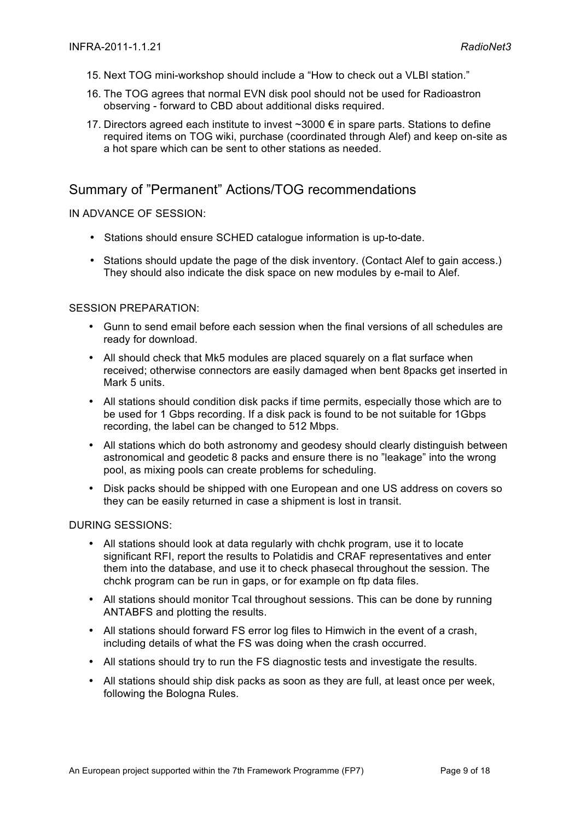- 15. Next TOG mini-workshop should include a "How to check out a VLBI station."
- 16. The TOG agrees that normal EVN disk pool should not be used for Radioastron observing - forward to CBD about additional disks required.
- 17. Directors agreed each institute to invest  $\sim$ 3000 € in spare parts. Stations to define required items on TOG wiki, purchase (coordinated through Alef) and keep on-site as a hot spare which can be sent to other stations as needed.

## Summary of "Permanent" Actions/TOG recommendations

## IN ADVANCE OF SESSION:

- Stations should ensure SCHED catalogue information is up-to-date.
- Stations should update the page of the disk inventory. (Contact Alef to gain access.) They should also indicate the disk space on new modules by e-mail to Alef.

## SESSION PREPARATION:

- Gunn to send email before each session when the final versions of all schedules are ready for download.
- All should check that Mk5 modules are placed squarely on a flat surface when received; otherwise connectors are easily damaged when bent 8packs get inserted in Mark 5 units.
- All stations should condition disk packs if time permits, especially those which are to be used for 1 Gbps recording. If a disk pack is found to be not suitable for 1Gbps recording, the label can be changed to 512 Mbps.
- All stations which do both astronomy and geodesy should clearly distinguish between astronomical and geodetic 8 packs and ensure there is no "leakage" into the wrong pool, as mixing pools can create problems for scheduling.
- Disk packs should be shipped with one European and one US address on covers so they can be easily returned in case a shipment is lost in transit.

## DURING SESSIONS:

- All stations should look at data regularly with chchk program, use it to locate significant RFI, report the results to Polatidis and CRAF representatives and enter them into the database, and use it to check phasecal throughout the session. The chchk program can be run in gaps, or for example on ftp data files.
- All stations should monitor Tcal throughout sessions. This can be done by running ANTABFS and plotting the results.
- All stations should forward FS error log files to Himwich in the event of a crash, including details of what the FS was doing when the crash occurred.
- All stations should try to run the FS diagnostic tests and investigate the results.
- All stations should ship disk packs as soon as they are full, at least once per week, following the Bologna Rules.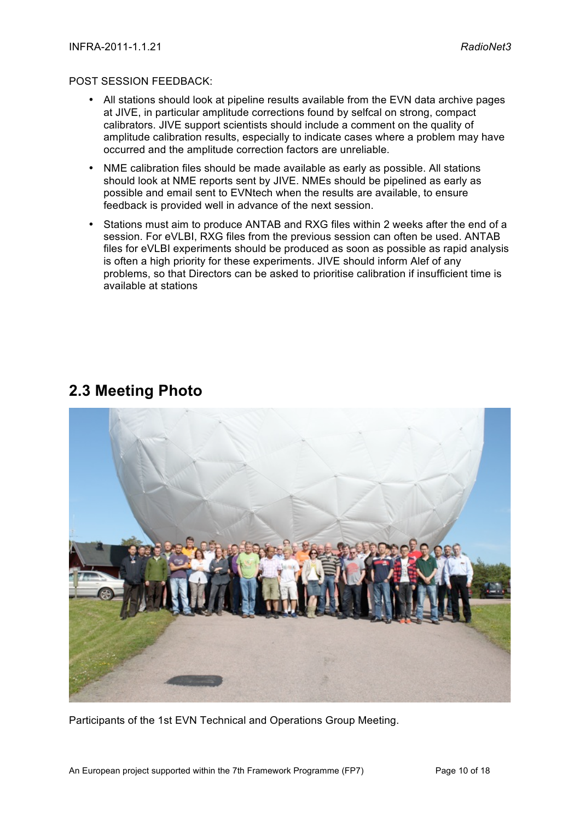## POST SESSION FEEDBACK:

- All stations should look at pipeline results available from the EVN data archive pages at JIVE, in particular amplitude corrections found by selfcal on strong, compact calibrators. JIVE support scientists should include a comment on the quality of amplitude calibration results, especially to indicate cases where a problem may have occurred and the amplitude correction factors are unreliable.
- NME calibration files should be made available as early as possible. All stations should look at NME reports sent by JIVE. NMEs should be pipelined as early as possible and email sent to EVNtech when the results are available, to ensure feedback is provided well in advance of the next session.
- Stations must aim to produce ANTAB and RXG files within 2 weeks after the end of a session. For eVLBI, RXG files from the previous session can often be used. ANTAB files for eVLBI experiments should be produced as soon as possible as rapid analysis is often a high priority for these experiments. JIVE should inform Alef of any problems, so that Directors can be asked to prioritise calibration if insufficient time is available at stations



## **2.3 Meeting Photo**

Participants of the 1st EVN Technical and Operations Group Meeting.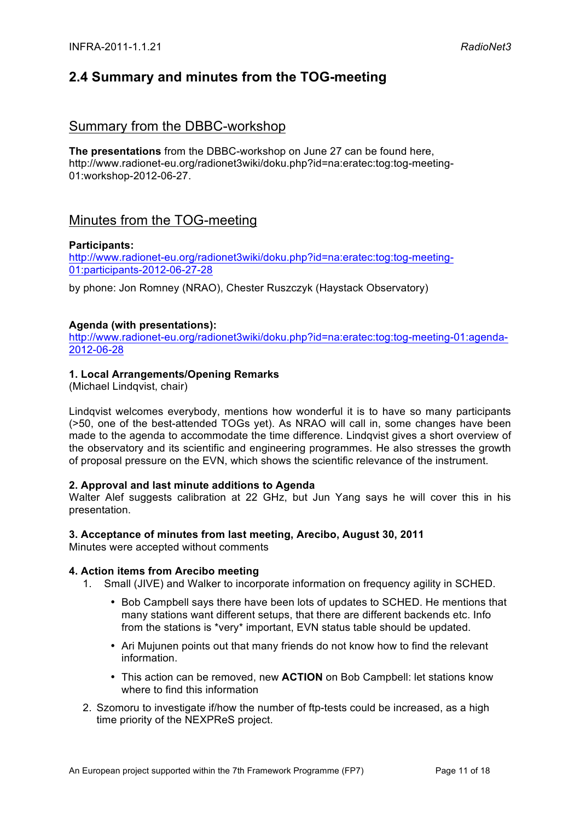## **2.4 Summary and minutes from the TOG-meeting**

## Summary from the DBBC-workshop

**The presentations** from the DBBC-workshop on June 27 can be found here, http://www.radionet-eu.org/radionet3wiki/doku.php?id=na:eratec:tog:tog-meeting-01:workshop-2012-06-27.

## Minutes from the TOG-meeting

## **Participants:**

http://www.radionet-eu.org/radionet3wiki/doku.php?id=na:eratec:tog:tog-meeting-01:participants-2012-06-27-28

by phone: Jon Romney (NRAO), Chester Ruszczyk (Haystack Observatory)

## **Agenda (with presentations):**

http://www.radionet-eu.org/radionet3wiki/doku.php?id=na:eratec:tog:tog-meeting-01:agenda-2012-06-28

## **1. Local Arrangements/Opening Remarks**

(Michael Lindqvist, chair)

Lindqvist welcomes everybody, mentions how wonderful it is to have so many participants (>50, one of the best-attended TOGs yet). As NRAO will call in, some changes have been made to the agenda to accommodate the time difference. Lindqvist gives a short overview of the observatory and its scientific and engineering programmes. He also stresses the growth of proposal pressure on the EVN, which shows the scientific relevance of the instrument.

## **2. Approval and last minute additions to Agenda**

Walter Alef suggests calibration at 22 GHz, but Jun Yang says he will cover this in his presentation.

## **3. Acceptance of minutes from last meeting, Arecibo, August 30, 2011**

Minutes were accepted without comments

## **4. Action items from Arecibo meeting**

- 1. Small (JIVE) and Walker to incorporate information on frequency agility in SCHED.
	- Bob Campbell says there have been lots of updates to SCHED. He mentions that many stations want different setups, that there are different backends etc. Info from the stations is \*very\* important, EVN status table should be updated.
	- Ari Mujunen points out that many friends do not know how to find the relevant information.
	- This action can be removed, new **ACTION** on Bob Campbell: let stations know where to find this information
- 2. Szomoru to investigate if/how the number of ftp-tests could be increased, as a high time priority of the NEXPReS project.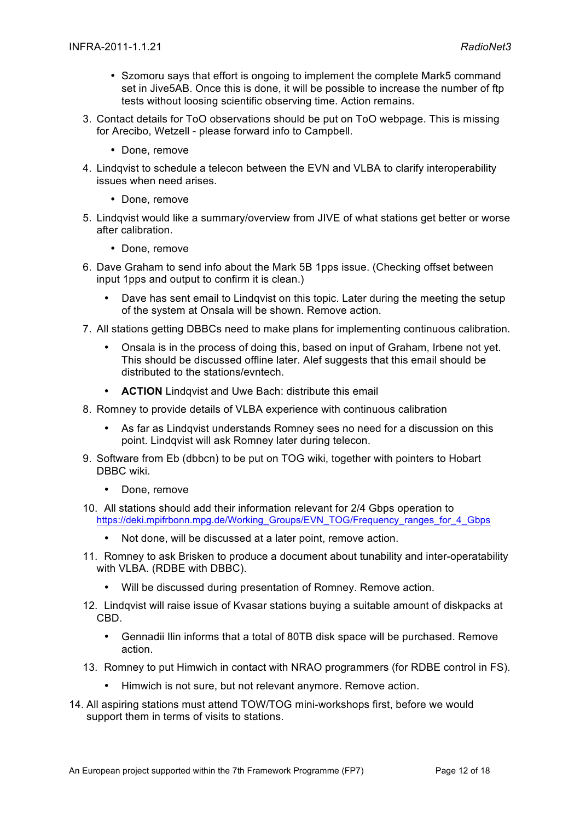- Szomoru says that effort is ongoing to implement the complete Mark5 command set in Jive5AB. Once this is done, it will be possible to increase the number of ftp tests without loosing scientific observing time. Action remains.
- 3. Contact details for ToO observations should be put on ToO webpage. This is missing for Arecibo, Wetzell - please forward info to Campbell.
	- Done, remove
- 4. Lindqvist to schedule a telecon between the EVN and VLBA to clarify interoperability issues when need arises.
	- Done, remove
- 5. Lindqvist would like a summary/overview from JIVE of what stations get better or worse after calibration.
	- Done, remove
- 6. Dave Graham to send info about the Mark 5B 1pps issue. (Checking offset between input 1pps and output to confirm it is clean.)
	- Dave has sent email to Lindqvist on this topic. Later during the meeting the setup of the system at Onsala will be shown. Remove action.
- 7. All stations getting DBBCs need to make plans for implementing continuous calibration.
	- Onsala is in the process of doing this, based on input of Graham, Irbene not yet. This should be discussed offline later. Alef suggests that this email should be distributed to the stations/evntech.
	- **ACTION** Lindqvist and Uwe Bach: distribute this email
- 8. Romney to provide details of VLBA experience with continuous calibration
	- As far as Lindqvist understands Romney sees no need for a discussion on this point. Lindqvist will ask Romney later during telecon.
- 9. Software from Eb (dbbcn) to be put on TOG wiki, together with pointers to Hobart DBBC wiki.
	- Done, remove
- 10. All stations should add their information relevant for 2/4 Gbps operation to https://deki.mpifrbonn.mpg.de/Working\_Groups/EVN\_TOG/Frequency\_ranges\_for\_4\_Gbps
	- Not done, will be discussed at a later point, remove action.
- 11. Romney to ask Brisken to produce a document about tunability and inter-operatability with VLBA. (RDBE with DBBC).
	- Will be discussed during presentation of Romney. Remove action.
- 12. Lindqvist will raise issue of Kvasar stations buying a suitable amount of diskpacks at CBD.
	- Gennadii Ilin informs that a total of 80TB disk space will be purchased. Remove action.
- 13. Romney to put Himwich in contact with NRAO programmers (for RDBE control in FS).
	- Himwich is not sure, but not relevant anymore. Remove action.
- 14. All aspiring stations must attend TOW/TOG mini-workshops first, before we would support them in terms of visits to stations.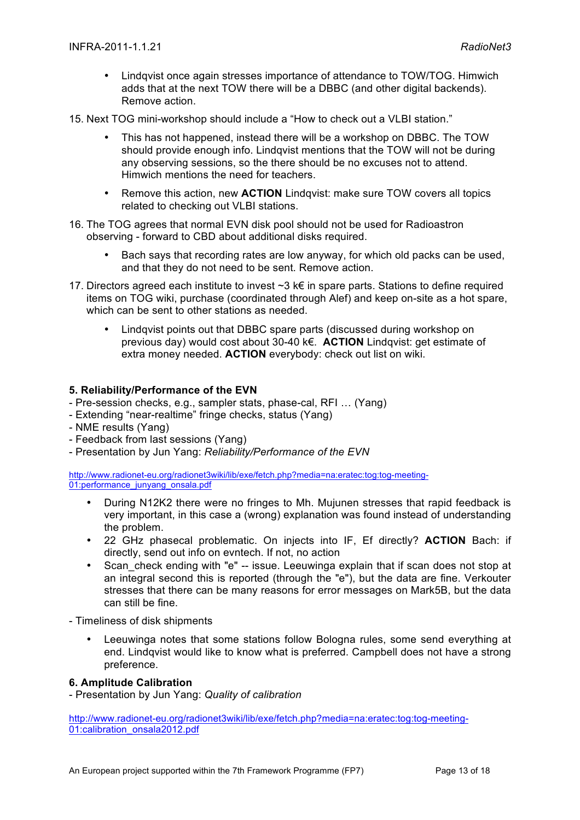- Lindqvist once again stresses importance of attendance to TOW/TOG. Himwich adds that at the next TOW there will be a DBBC (and other digital backends). Remove action.
- 15. Next TOG mini-workshop should include a "How to check out a VLBI station."
	- This has not happened, instead there will be a workshop on DBBC. The TOW should provide enough info. Lindqvist mentions that the TOW will not be during any observing sessions, so the there should be no excuses not to attend. Himwich mentions the need for teachers.
	- Remove this action, new **ACTION** Lindqvist: make sure TOW covers all topics related to checking out VLBI stations.
- 16. The TOG agrees that normal EVN disk pool should not be used for Radioastron observing - forward to CBD about additional disks required.
	- Bach says that recording rates are low anyway, for which old packs can be used, and that they do not need to be sent. Remove action.
- 17. Directors agreed each institute to invest  $\sim$ 3 k€ in spare parts. Stations to define required items on TOG wiki, purchase (coordinated through Alef) and keep on-site as a hot spare, which can be sent to other stations as needed.
	- Lindqvist points out that DBBC spare parts (discussed during workshop on previous day) would cost about 30-40 k€. **ACTION** Lindqvist: get estimate of extra money needed. **ACTION** everybody: check out list on wiki.

## **5. Reliability/Performance of the EVN**

- Pre-session checks, e.g., sampler stats, phase-cal, RFI … (Yang)
- Extending "near-realtime" fringe checks, status (Yang)
- NME results (Yang)
- Feedback from last sessions (Yang)
- Presentation by Jun Yang: *Reliability/Performance of the EVN*

http://www.radionet-eu.org/radionet3wiki/lib/exe/fetch.php?media=na:eratec:tog:tog-meeting-01:performance\_junyang\_onsala.pdf

- During N12K2 there were no fringes to Mh. Mujunen stresses that rapid feedback is very important, in this case a (wrong) explanation was found instead of understanding the problem.
- 22 GHz phasecal problematic. On injects into IF, Ef directly? **ACTION** Bach: if directly, send out info on evntech. If not, no action
- Scan check ending with "e" -- issue. Leeuwinga explain that if scan does not stop at an integral second this is reported (through the "e"), but the data are fine. Verkouter stresses that there can be many reasons for error messages on Mark5B, but the data can still be fine.
- Timeliness of disk shipments
	- Leeuwinga notes that some stations follow Bologna rules, some send everything at end. Lindqvist would like to know what is preferred. Campbell does not have a strong preference.

## **6. Amplitude Calibration**

- Presentation by Jun Yang: *Quality of calibration*

http://www.radionet-eu.org/radionet3wiki/lib/exe/fetch.php?media=na:eratec:tog:tog-meeting-01:calibration\_onsala2012.pdf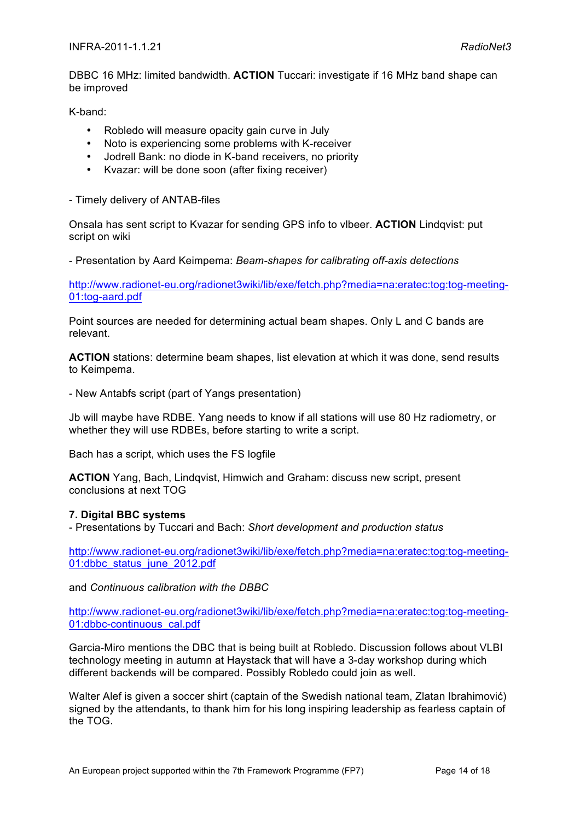DBBC 16 MHz: limited bandwidth. **ACTION** Tuccari: investigate if 16 MHz band shape can be improved

K-band:

- Robledo will measure opacity gain curve in July
- Noto is experiencing some problems with K-receiver
- Jodrell Bank: no diode in K-band receivers, no priority
- Kvazar: will be done soon (after fixing receiver)

- Timely delivery of ANTAB-files

Onsala has sent script to Kvazar for sending GPS info to vlbeer. **ACTION** Lindqvist: put script on wiki

- Presentation by Aard Keimpema: *Beam-shapes for calibrating off-axis detections*

http://www.radionet-eu.org/radionet3wiki/lib/exe/fetch.php?media=na:eratec:tog:tog-meeting-01:tog-aard.pdf

Point sources are needed for determining actual beam shapes. Only L and C bands are relevant.

**ACTION** stations: determine beam shapes, list elevation at which it was done, send results to Keimpema.

- New Antabfs script (part of Yangs presentation)

Jb will maybe have RDBE. Yang needs to know if all stations will use 80 Hz radiometry, or whether they will use RDBEs, before starting to write a script.

Bach has a script, which uses the FS logfile

**ACTION** Yang, Bach, Lindqvist, Himwich and Graham: discuss new script, present conclusions at next TOG

## **7. Digital BBC systems**

- Presentations by Tuccari and Bach: *Short development and production status*

http://www.radionet-eu.org/radionet3wiki/lib/exe/fetch.php?media=na:eratec:tog:tog-meeting-01:dbbc\_status\_june\_2012.pdf

and *Continuous calibration with the DBBC*

http://www.radionet-eu.org/radionet3wiki/lib/exe/fetch.php?media=na:eratec:tog:tog-meeting-01:dbbc-continuous\_cal.pdf

Garcia-Miro mentions the DBC that is being built at Robledo. Discussion follows about VLBI technology meeting in autumn at Haystack that will have a 3-day workshop during which different backends will be compared. Possibly Robledo could join as well.

Walter Alef is given a soccer shirt (captain of the Swedish national team, Zlatan Ibrahimović) signed by the attendants, to thank him for his long inspiring leadership as fearless captain of the TOG.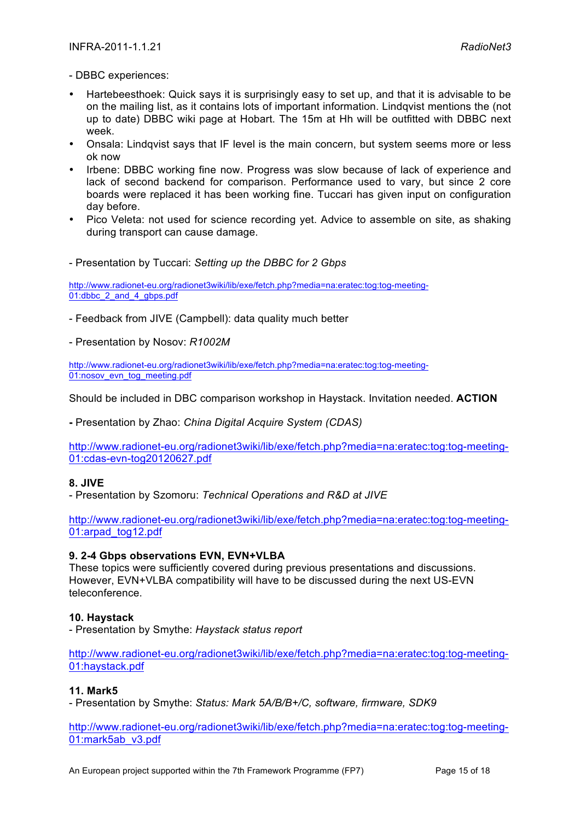- DBBC experiences:

- Hartebeesthoek: Quick says it is surprisingly easy to set up, and that it is advisable to be on the mailing list, as it contains lots of important information. Lindqvist mentions the (not up to date) DBBC wiki page at Hobart. The 15m at Hh will be outfitted with DBBC next week.
- Onsala: Lindqvist says that IF level is the main concern, but system seems more or less ok now
- Irbene: DBBC working fine now. Progress was slow because of lack of experience and lack of second backend for comparison. Performance used to vary, but since 2 core boards were replaced it has been working fine. Tuccari has given input on configuration day before.
- Pico Veleta: not used for science recording yet. Advice to assemble on site, as shaking during transport can cause damage.

- Presentation by Tuccari: *Setting up the DBBC for 2 Gbps*

http://www.radionet-eu.org/radionet3wiki/lib/exe/fetch.php?media=na:eratec:tog:tog-meeting-01:dbbc\_2\_and\_4\_gbps.pdf

- Feedback from JIVE (Campbell): data quality much better

- Presentation by Nosov: *R1002M*

http://www.radionet-eu.org/radionet3wiki/lib/exe/fetch.php?media=na:eratec:tog:tog-meeting-01:nosov\_evn\_tog\_meeting.pdf

Should be included in DBC comparison workshop in Haystack. Invitation needed. **ACTION**

**-** Presentation by Zhao: *China Digital Acquire System (CDAS)*

http://www.radionet-eu.org/radionet3wiki/lib/exe/fetch.php?media=na:eratec:tog:tog-meeting-01:cdas-evn-tog20120627.pdf

## **8. JIVE**

- Presentation by Szomoru: *Technical Operations and R&D at JIVE*

http://www.radionet-eu.org/radionet3wiki/lib/exe/fetch.php?media=na:eratec:tog:tog-meeting-01:arpad\_tog12.pdf

## **9. 2-4 Gbps observations EVN, EVN+VLBA**

These topics were sufficiently covered during previous presentations and discussions. However, EVN+VLBA compatibility will have to be discussed during the next US-EVN teleconference.

## **10. Haystack**

- Presentation by Smythe: *Haystack status report*

http://www.radionet-eu.org/radionet3wiki/lib/exe/fetch.php?media=na:eratec:tog:tog-meeting-01:haystack.pdf

## **11. Mark5**

- Presentation by Smythe: *Status: Mark 5A/B/B+/C, software, firmware, SDK9*

http://www.radionet-eu.org/radionet3wiki/lib/exe/fetch.php?media=na:eratec:tog:tog-meeting-01:mark5ab\_v3.pdf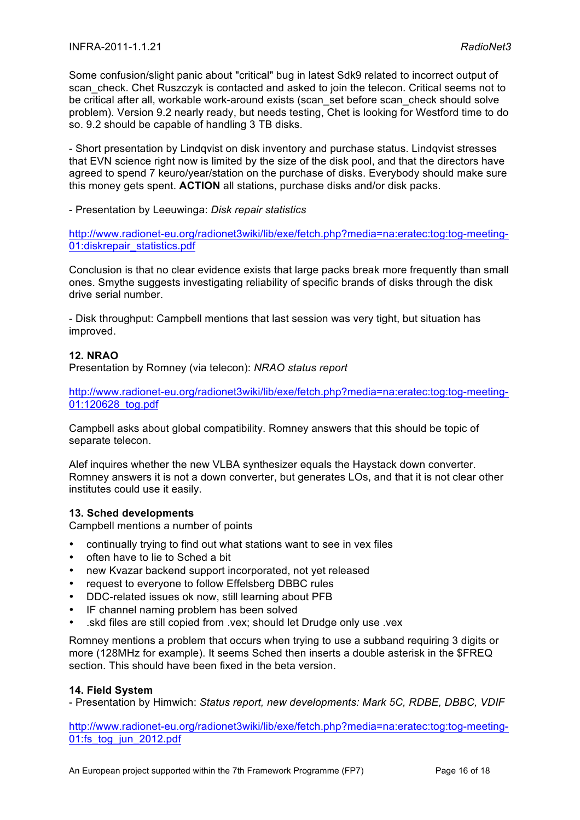Some confusion/slight panic about "critical" bug in latest Sdk9 related to incorrect output of scan check. Chet Ruszczyk is contacted and asked to join the telecon. Critical seems not to be critical after all, workable work-around exists (scan\_set before scan\_check should solve problem). Version 9.2 nearly ready, but needs testing, Chet is looking for Westford time to do so. 9.2 should be capable of handling 3 TB disks.

- Short presentation by Lindqvist on disk inventory and purchase status. Lindqvist stresses that EVN science right now is limited by the size of the disk pool, and that the directors have agreed to spend 7 keuro/year/station on the purchase of disks. Everybody should make sure this money gets spent. **ACTION** all stations, purchase disks and/or disk packs.

- Presentation by Leeuwinga: *Disk repair statistics*

http://www.radionet-eu.org/radionet3wiki/lib/exe/fetch.php?media=na:eratec:tog:tog-meeting-01:diskrepair\_statistics.pdf

Conclusion is that no clear evidence exists that large packs break more frequently than small ones. Smythe suggests investigating reliability of specific brands of disks through the disk drive serial number.

- Disk throughput: Campbell mentions that last session was very tight, but situation has improved.

## **12. NRAO**

Presentation by Romney (via telecon): *NRAO status report*

http://www.radionet-eu.org/radionet3wiki/lib/exe/fetch.php?media=na:eratec:tog:tog-meeting-01:120628\_tog.pdf

Campbell asks about global compatibility. Romney answers that this should be topic of separate telecon.

Alef inquires whether the new VLBA synthesizer equals the Haystack down converter. Romney answers it is not a down converter, but generates LOs, and that it is not clear other institutes could use it easily.

## **13. Sched developments**

Campbell mentions a number of points

- continually trying to find out what stations want to see in vex files
- often have to lie to Sched a bit
- new Kvazar backend support incorporated, not yet released
- request to everyone to follow Effelsberg DBBC rules
- DDC-related issues ok now, still learning about PFB
- IF channel naming problem has been solved
- .skd files are still copied from .vex; should let Drudge only use .vex

Romney mentions a problem that occurs when trying to use a subband requiring 3 digits or more (128MHz for example). It seems Sched then inserts a double asterisk in the \$FREQ section. This should have been fixed in the beta version.

## **14. Field System**

- Presentation by Himwich: *Status report, new developments: Mark 5C, RDBE, DBBC, VDIF*

http://www.radionet-eu.org/radionet3wiki/lib/exe/fetch.php?media=na:eratec:tog:tog-meeting-01:fs\_tog\_jun\_2012.pdf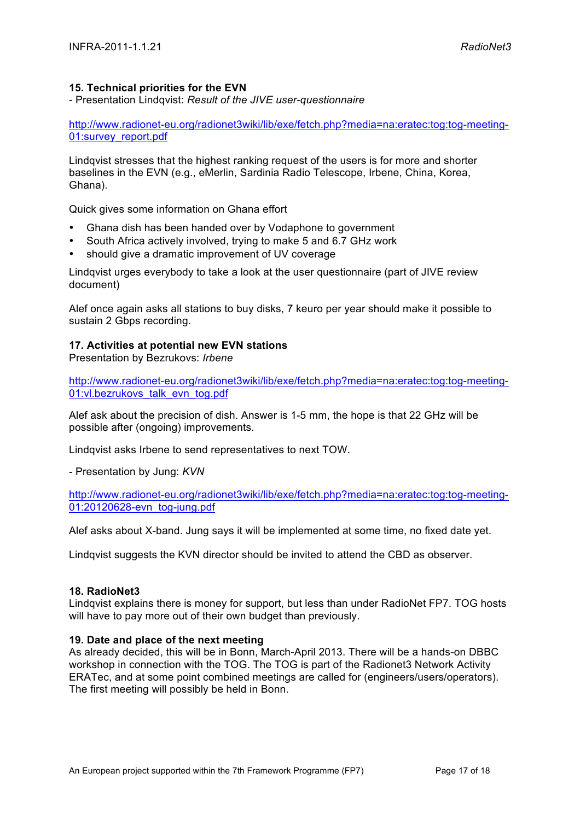## **15. Technical priorities for the EVN**

- Presentation Lindqvist: *Result of the JIVE user-questionnaire*

http://www.radionet-eu.org/radionet3wiki/lib/exe/fetch.php?media=na:eratec:tog:tog-meeting-01:survey\_report.pdf

Lindqvist stresses that the highest ranking request of the users is for more and shorter baselines in the EVN (e.g., eMerlin, Sardinia Radio Telescope, Irbene, China, Korea, Ghana).

Quick gives some information on Ghana effort

- Ghana dish has been handed over by Vodaphone to government
- South Africa actively involved, trying to make 5 and 6.7 GHz work
- should give a dramatic improvement of UV coverage

Lindqvist urges everybody to take a look at the user questionnaire (part of JIVE review document)

Alef once again asks all stations to buy disks, 7 keuro per year should make it possible to sustain 2 Gbps recording.

## **17. Activities at potential new EVN stations**

Presentation by Bezrukovs: *Irbene*

http://www.radionet-eu.org/radionet3wiki/lib/exe/fetch.php?media=na:eratec:tog:tog-meeting-01:vl.bezrukovs\_talk\_evn\_tog.pdf

Alef ask about the precision of dish. Answer is 1-5 mm, the hope is that 22 GHz will be possible after (ongoing) improvements.

Lindqvist asks Irbene to send representatives to next TOW.

- Presentation by Jung: *KVN*

http://www.radionet-eu.org/radionet3wiki/lib/exe/fetch.php?media=na:eratec:tog:tog-meeting-01:20120628-evn\_tog-jung.pdf

Alef asks about X-band. Jung says it will be implemented at some time, no fixed date yet.

Lindqvist suggests the KVN director should be invited to attend the CBD as observer.

## **18. RadioNet3**

Lindqvist explains there is money for support, but less than under RadioNet FP7. TOG hosts will have to pay more out of their own budget than previously.

## **19. Date and place of the next meeting**

As already decided, this will be in Bonn, March-April 2013. There will be a hands-on DBBC workshop in connection with the TOG. The TOG is part of the Radionet3 Network Activity ERATec, and at some point combined meetings are called for (engineers/users/operators). The first meeting will possibly be held in Bonn.